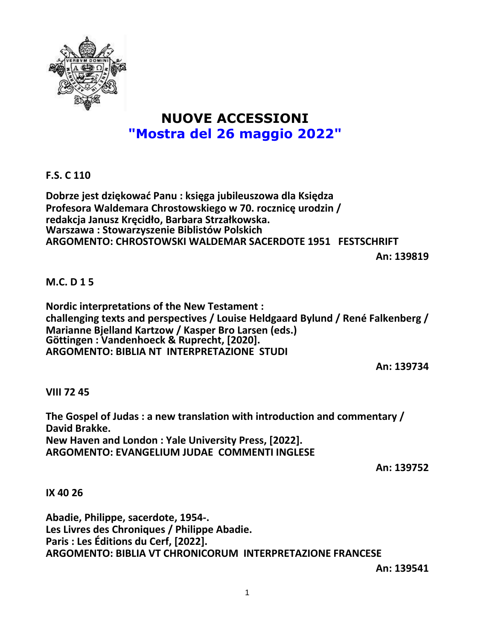

# **NUOVE ACCESSIONI "Mostra del 26 maggio 2022"**

## **F.S. C 110**

**Dobrze jest dziękować Panu : księga jubileuszowa dla Księdza Profesora Waldemara Chrostowskiego w 70. rocznicę urodzin / redakcja Janusz Kręcidło, Barbara Strzałkowska. Warszawa : Stowarzyszenie Biblistów Polskich ARGOMENTO: CHROSTOWSKI WALDEMAR SACERDOTE 1951 FESTSCHRIFT**

**An: 139819**

## **M.C. D 1 5**

**Nordic interpretations of the New Testament : challenging texts and perspectives / Louise Heldgaard Bylund / René Falkenberg / Marianne Bjelland Kartzow / Kasper Bro Larsen (eds.) Göttingen : Vandenhoeck & Ruprecht, [2020]. ARGOMENTO: BIBLIA NT INTERPRETAZIONE STUDI**

**An: 139734**

## **VIII 72 45**

**The Gospel of Judas : a new translation with introduction and commentary / David Brakke. New Haven and London : Yale University Press, [2022]. ARGOMENTO: EVANGELIUM JUDAE COMMENTI INGLESE**

**An: 139752**

### **IX 40 26**

**Abadie, Philippe, sacerdote, 1954-. Les Livres des Chroniques / Philippe Abadie. Paris : Les Éditions du Cerf, [2022]. ARGOMENTO: BIBLIA VT CHRONICORUM INTERPRETAZIONE FRANCESE**

**An: 139541**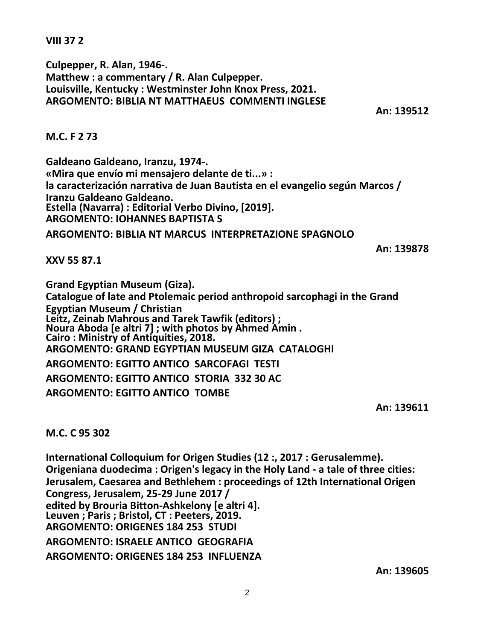**VIII 37 2**

**Culpepper, R. Alan, 1946-. Matthew : a commentary / R. Alan Culpepper. Louisville, Kentucky : Westminster John Knox Press, 2021. ARGOMENTO: BIBLIA NT MATTHAEUS COMMENTI INGLESE**

**An: 139512**

## **M.C. F 2 73**

**Galdeano Galdeano, Iranzu, 1974-. «Mira que envío mi mensajero delante de ti...» : la caracterización narrativa de Juan Bautista en el evangelio según Marcos / Iranzu Galdeano Galdeano. Estella (Navarra) : Editorial Verbo Divino, [2019]. ARGOMENTO: IOHANNES BAPTISTA S**

**ARGOMENTO: BIBLIA NT MARCUS INTERPRETAZIONE SPAGNOLO**

**An: 139878**

**XXV 55 87.1**

**Grand Egyptian Museum (Giza). Catalogue of late and Ptolemaic period anthropoid sarcophagi in the Grand Egyptian Museum / Christian Leitz, Zeinab Mahrous and Tarek Tawfik (editors) ; Noura Aboda [e altri 7] ; with photos by Ahmed Amin . Cairo : Ministry of Antiquities, 2018. ARGOMENTO: GRAND EGYPTIAN MUSEUM GIZA CATALOGHI ARGOMENTO: EGITTO ANTICO SARCOFAGI TESTI**

**ARGOMENTO: EGITTO ANTICO STORIA 332 30 AC**

**ARGOMENTO: EGITTO ANTICO TOMBE**

**An: 139611**

**M.C. C 95 302**

**International Colloquium for Origen Studies (12 :, 2017 : Gerusalemme). Origeniana duodecima : Origen's legacy in the Holy Land - a tale of three cities: Jerusalem, Caesarea and Bethlehem : proceedings of 12th International Origen Congress, Jerusalem, 25-29 June 2017 / edited by Brouria Bitton-Ashkelony [e altri 4]. Leuven ; Paris ; Bristol, CT : Peeters, 2019. ARGOMENTO: ORIGENES 184 253 STUDI ARGOMENTO: ISRAELE ANTICO GEOGRAFIA ARGOMENTO: ORIGENES 184 253 INFLUENZA**